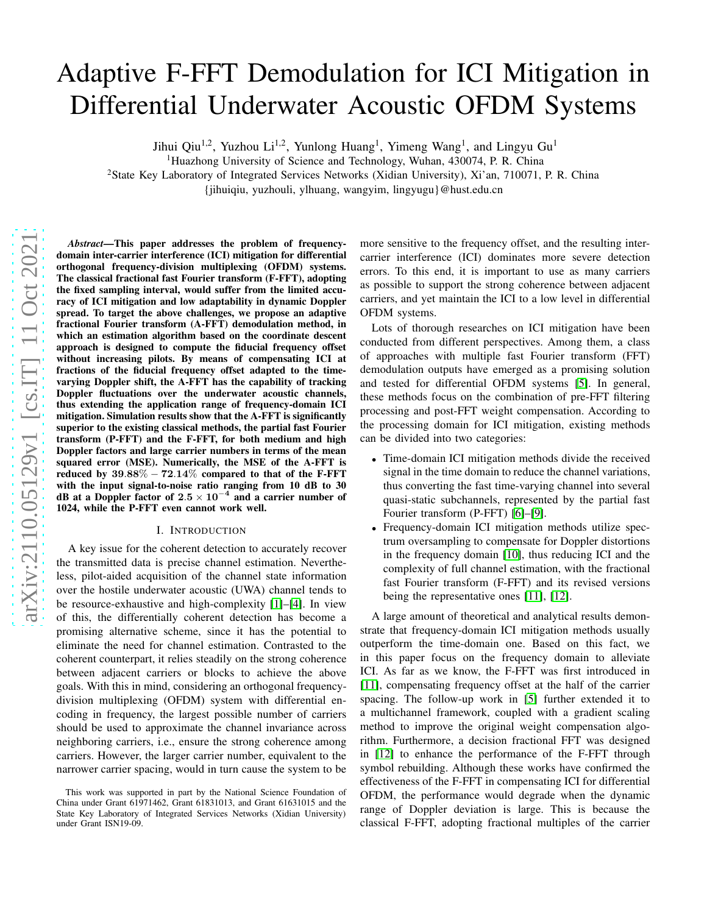# Adaptive F-FFT Demodulation for ICI Mitigation in Differential Underwater Acoustic OFDM Systems

Jihui Qiu<sup>1,2</sup>, Yuzhou Li<sup>1,2</sup>, Yunlong Huang<sup>1</sup>, Yimeng Wang<sup>1</sup>, and Lingyu Gu<sup>1</sup>

<sup>1</sup>Huazhong University of Science and Technology, Wuhan, 430074, P. R. China

<sup>2</sup>State Key Laboratory of Integrated Services Networks (Xidian University), Xi'an, 710071, P. R. China

{jihuiqiu, yuzhouli, ylhuang, wangyim, lingyugu}@hust.edu.cn

*Abstract*—This paper addresses the problem of frequencydomain inter-carrier interference (ICI) mitigation for differential orthogonal frequency-division multiplexing (OFDM) systems. The classical fractional fast Fourier transform (F-FFT), adopting the fixed sampling interval, would suffer from the limited accuracy of ICI mitigation and low adaptability in dynamic Doppler spread. To target the above challenges, we propose an adaptive fractional Fourier transform (A-FFT) demodulation method, in which an estimation algorithm based on the coordinate descent approach is designed to compute the fiducial frequency offset without increasing pilots. By means of compensating ICI at fractions of the fiducial frequency offset adapted to the timevarying Doppler shift, the A-FFT has the capability of tracking Doppler fluctuations over the underwater acoustic channels, thus extending the application range of frequency-domain ICI mitigation. Simulation results show that the A-FFT is significantly superior to the existing classical methods, the partial fast Fourier transform (P-FFT) and the F-FFT, for both medium and high Doppler factors and large carrier numbers in terms of the mean squared error (MSE). Numerically, the MSE of the A-FFT is reduced by  $39.88\% - 72.14\%$  compared to that of the F-FFT with the input signal-to-noise ratio ranging from 10 dB to 30 dB at a Doppler factor of  $2.5 \times 10^{-4}$  and a carrier number of 1024, while the P-FFT even cannot work well.

#### I. INTRODUCTION

A key issue for the coherent detection to accurately recover the transmitted data is precise channel estimation. Nevertheless, pilot-aided acquisition of the channel state information over the hostile underwater acoustic (UWA) channel tends to be resource-exhaustive and high-complexity [\[1\]](#page-5-0)–[\[4\]](#page-5-1). In view of this, the differentially coherent detection has become a promising alternative scheme, since it has the potential to eliminate the need for channel estimation. Contrasted to the coherent counterpart, it relies steadily on the strong coherence between adjacent carriers or blocks to achieve the above goals. With this in mind, considering an orthogonal frequencydivision multiplexing (OFDM) system with differential encoding in frequency, the largest possible number of carriers should be used to approximate the channel invariance across neighboring carriers, i.e., ensure the strong coherence among carriers. However, the larger carrier number, equivalent to the narrower carrier spacing, would in turn cause the system to be more sensitive to the frequency offset, and the resulting intercarrier interference (ICI) dominates more severe detection errors. To this end, it is important to use as many carriers as possible to support the strong coherence between adjacent carriers, and yet maintain the ICI to a low level in differential OFDM systems.

Lots of thorough researches on ICI mitigation have been conducted from different perspectives. Among them, a class of approaches with multiple fast Fourier transform (FFT) demodulation outputs have emerged as a promising solution and tested for differential OFDM systems [\[5\]](#page-5-2). In general, these methods focus on the combination of pre-FFT filtering processing and post-FFT weight compensation. According to the processing domain for ICI mitigation, existing methods can be divided into two categories:

- Time-domain ICI mitigation methods divide the received signal in the time domain to reduce the channel variations, thus converting the fast time-varying channel into several quasi-static subchannels, represented by the partial fast Fourier transform (P-FFT) [\[6\]](#page-5-3)–[\[9\]](#page-5-4).
- Frequency-domain ICI mitigation methods utilize spectrum oversampling to compensate for Doppler distortions in the frequency domain [\[10\]](#page-5-5), thus reducing ICI and the complexity of full channel estimation, with the fractional fast Fourier transform (F-FFT) and its revised versions being the representative ones [\[11\]](#page-5-6), [\[12\]](#page-5-7).

A large amount of theoretical and analytical results demonstrate that frequency-domain ICI mitigation methods usually outperform the time-domain one. Based on this fact, we in this paper focus on the frequency domain to alleviate ICI. As far as we know, the F-FFT was first introduced in [\[11\]](#page-5-6), compensating frequency offset at the half of the carrier spacing. The follow-up work in [\[5\]](#page-5-2) further extended it to a multichannel framework, coupled with a gradient scaling method to improve the original weight compensation algorithm. Furthermore, a decision fractional FFT was designed in [\[12\]](#page-5-7) to enhance the performance of the F-FFT through symbol rebuilding. Although these works have confirmed the effectiveness of the F-FFT in compensating ICI for differential OFDM, the performance would degrade when the dynamic range of Doppler deviation is large. This is because the classical F-FFT, adopting fractional multiples of the carrier

This work was supported in part by the National Science Foundation of China under Grant 61971462, Grant 61831013, and Grant 61631015 and the State Key Laboratory of Integrated Services Networks (Xidian University) under Grant ISN19-09.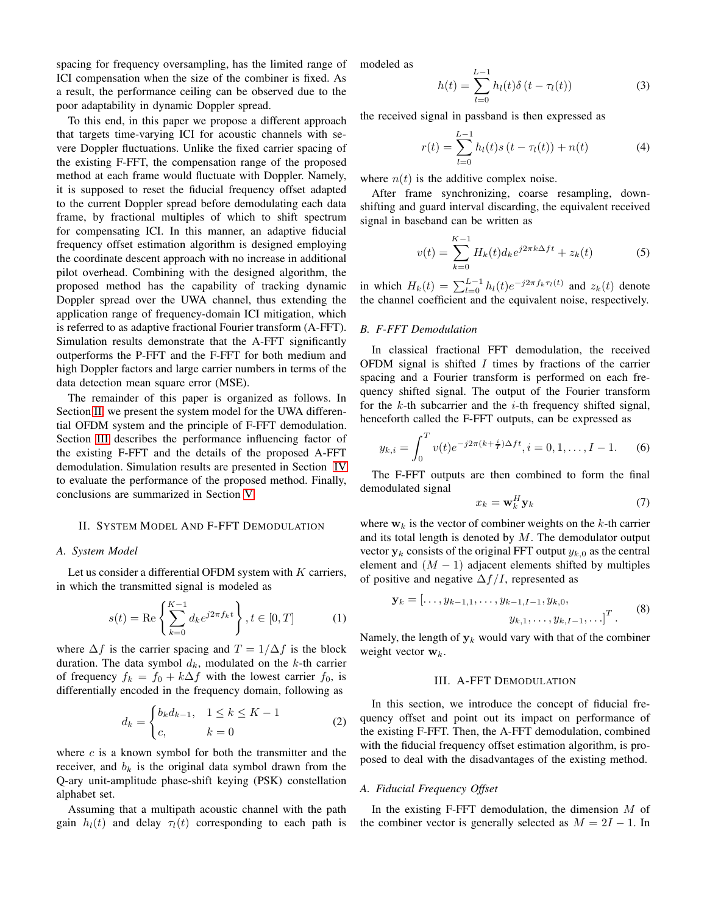spacing for frequency oversampling, has the limited range of ICI compensation when the size of the combiner is fixed. As a result, the performance ceiling can be observed due to the poor adaptability in dynamic Doppler spread.

To this end, in this paper we propose a different approach that targets time-varying ICI for acoustic channels with severe Doppler fluctuations. Unlike the fixed carrier spacing of the existing F-FFT, the compensation range of the proposed method at each frame would fluctuate with Doppler. Namely, it is supposed to reset the fiducial frequency offset adapted to the current Doppler spread before demodulating each data frame, by fractional multiples of which to shift spectrum for compensating ICI. In this manner, an adaptive fiducial frequency offset estimation algorithm is designed employing the coordinate descent approach with no increase in additional pilot overhead. Combining with the designed algorithm, the proposed method has the capability of tracking dynamic Doppler spread over the UWA channel, thus extending the application range of frequency-domain ICI mitigation, which is referred to as adaptive fractional Fourier transform (A-FFT). Simulation results demonstrate that the A-FFT significantly outperforms the P-FFT and the F-FFT for both medium and high Doppler factors and large carrier numbers in terms of the data detection mean square error (MSE).

The remainder of this paper is organized as follows. In Section [II,](#page-1-0) we present the system model for the UWA differential OFDM system and the principle of F-FFT demodulation. Section [III](#page-1-1) describes the performance influencing factor of the existing F-FFT and the details of the proposed A-FFT demodulation. Simulation results are presented in Section [IV](#page-3-0) to evaluate the performance of the proposed method. Finally, conclusions are summarized in Section [V.](#page-5-8)

#### <span id="page-1-0"></span>II. SYSTEM MODEL AND F-FFT DEMODULATION

## *A. System Model*

Let us consider a differential OFDM system with  $K$  carriers, in which the transmitted signal is modeled as

$$
s(t) = \text{Re}\left\{\sum_{k=0}^{K-1} d_k e^{j2\pi f_k t} \right\}, t \in [0, T]
$$
 (1)

where  $\Delta f$  is the carrier spacing and  $T = 1/\Delta f$  is the block duration. The data symbol  $d_k$ , modulated on the k-th carrier of frequency  $f_k = f_0 + k\Delta f$  with the lowest carrier  $f_0$ , is differentially encoded in the frequency domain, following as

$$
d_k = \begin{cases} b_k d_{k-1}, & 1 \le k \le K-1 \\ c, & k = 0 \end{cases}
$$
 (2)

where  $c$  is a known symbol for both the transmitter and the receiver, and  $b_k$  is the original data symbol drawn from the Q-ary unit-amplitude phase-shift keying (PSK) constellation alphabet set.

Assuming that a multipath acoustic channel with the path gain  $h_l(t)$  and delay  $\tau_l(t)$  corresponding to each path is modeled as

$$
h(t) = \sum_{l=0}^{L-1} h_l(t)\delta(t - \tau_l(t))
$$
 (3)

the received signal in passband is then expressed as

$$
r(t) = \sum_{l=0}^{L-1} h_l(t)s(t - \tau_l(t)) + n(t)
$$
 (4)

where  $n(t)$  is the additive complex noise.

After frame synchronizing, coarse resampling, downshifting and guard interval discarding, the equivalent received signal in baseband can be written as

$$
v(t) = \sum_{k=0}^{K-1} H_k(t) d_k e^{j2\pi k \Delta ft} + z_k(t)
$$
 (5)

in which  $H_k(t) = \sum_{l=0}^{L-1} h_l(t) e^{-j2\pi f_k \tau_l(t)}$  and  $z_k(t)$  denote the channel coefficient and the equivalent noise, respectively.

# *B. F-FFT Demodulation*

In classical fractional FFT demodulation, the received OFDM signal is shifted  $I$  times by fractions of the carrier spacing and a Fourier transform is performed on each frequency shifted signal. The output of the Fourier transform for the  $k$ -th subcarrier and the  $i$ -th frequency shifted signal, henceforth called the F-FFT outputs, can be expressed as

<span id="page-1-2"></span>
$$
y_{k,i} = \int_0^T v(t)e^{-j2\pi(k+\frac{i}{T})\Delta ft}, i = 0, 1, \dots, I-1.
$$
 (6)

The F-FFT outputs are then combined to form the final demodulated signal

$$
x_k = \mathbf{w}_k^H \mathbf{y}_k \tag{7}
$$

where  $w_k$  is the vector of combiner weights on the k-th carrier and its total length is denoted by  $M$ . The demodulator output vector  $y_k$  consists of the original FFT output  $y_{k,0}$  as the central element and  $(M - 1)$  adjacent elements shifted by multiples of positive and negative  $\Delta f/I$ , represented as

$$
\mathbf{y}_k = [\dots, y_{k-1,1}, \dots, y_{k-1,I-1}, y_{k,0}, \n y_{k,1}, \dots, y_{k,I-1}, \dots]^T.
$$
\n(8)

<span id="page-1-1"></span>Namely, the length of  $y_k$  would vary with that of the combiner weight vector  $w_k$ .

## III. A-FFT DEMODULATION

In this section, we introduce the concept of fiducial frequency offset and point out its impact on performance of the existing F-FFT. Then, the A-FFT demodulation, combined with the fiducial frequency offset estimation algorithm, is proposed to deal with the disadvantages of the existing method.

### *A. Fiducial Frequency Offset*

In the existing F-FFT demodulation, the dimension  $M$  of the combiner vector is generally selected as  $M = 2I - 1$ . In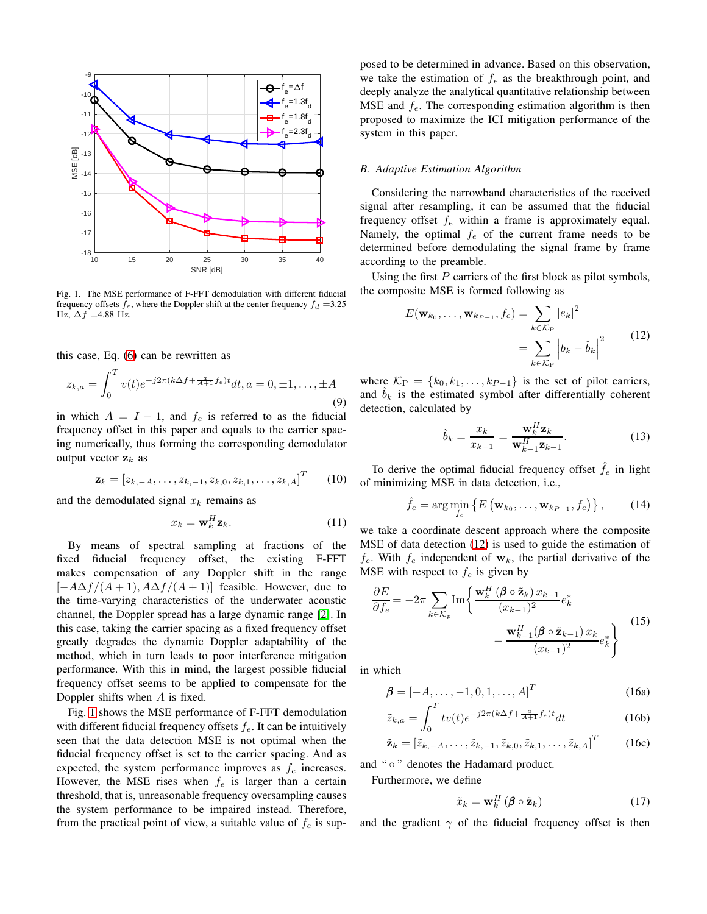

<span id="page-2-0"></span>Fig. 1. The MSE performance of F-FFT demodulation with different fiducial frequency offsets  $f_e$ , where the Doppler shift at the center frequency  $f_d = 3.25$ Hz,  $\Delta f$  =4.88 Hz.

this case, Eq. [\(6\)](#page-1-2) can be rewritten as

<span id="page-2-2"></span>
$$
z_{k,a} = \int_0^T v(t)e^{-j2\pi(k\Delta f + \frac{a}{A+1}f_e)t}dt, a = 0, \pm 1, \dots, \pm A
$$
\n(9)

in which  $A = I - 1$ , and  $f_e$  is referred to as the fiducial frequency offset in this paper and equals to the carrier spacing numerically, thus forming the corresponding demodulator output vector  $z_k$  as

$$
\mathbf{z}_{k} = [z_{k,-A}, \ldots, z_{k,-1}, z_{k,0}, z_{k,1}, \ldots, z_{k,A}]^{T} \qquad (10)
$$

and the demodulated signal  $x_k$  remains as

<span id="page-2-3"></span>
$$
x_k = \mathbf{w}_k^H \mathbf{z}_k. \tag{11}
$$

By means of spectral sampling at fractions of the fixed fiducial frequency offset, the existing F-FFT makes compensation of any Doppler shift in the range  $[-A\Delta f/(A+1), A\Delta f/(A+1)]$  feasible. However, due to the time-varying characteristics of the underwater acoustic channel, the Doppler spread has a large dynamic range [\[2\]](#page-5-9). In this case, taking the carrier spacing as a fixed frequency offset greatly degrades the dynamic Doppler adaptability of the method, which in turn leads to poor interference mitigation performance. With this in mind, the largest possible fiducial frequency offset seems to be applied to compensate for the Doppler shifts when A is fixed.

Fig. [1](#page-2-0) shows the MSE performance of F-FFT demodulation with different fiducial frequency offsets  $f_e$ . It can be intuitively seen that the data detection MSE is not optimal when the fiducial frequency offset is set to the carrier spacing. And as expected, the system performance improves as  $f_e$  increases. However, the MSE rises when  $f_e$  is larger than a certain threshold, that is, unreasonable frequency oversampling causes the system performance to be impaired instead. Therefore, from the practical point of view, a suitable value of  $f_e$  is supposed to be determined in advance. Based on this observation, we take the estimation of  $f_e$  as the breakthrough point, and deeply analyze the analytical quantitative relationship between MSE and  $f_e$ . The corresponding estimation algorithm is then proposed to maximize the ICI mitigation performance of the system in this paper.

#### *B. Adaptive Estimation Algorithm*

Considering the narrowband characteristics of the received signal after resampling, it can be assumed that the fiducial frequency offset  $f_e$  within a frame is approximately equal. Namely, the optimal  $f_e$  of the current frame needs to be determined before demodulating the signal frame by frame according to the preamble.

Using the first  $P$  carriers of the first block as pilot symbols, the composite MSE is formed following as

<span id="page-2-1"></span>
$$
E(\mathbf{w}_{k_0}, \dots, \mathbf{w}_{k_{P-1}}, f_e) = \sum_{k \in \mathcal{K}_{P}} |e_k|^2
$$
  
= 
$$
\sum_{k \in \mathcal{K}_{P}} |b_k - \hat{b}_k|^2
$$
 (12)

where  $\mathcal{K}_{P} = \{k_0, k_1, \ldots, k_{P-1}\}\$ is the set of pilot carriers, and  $\hat{b}_k$  is the estimated symbol after differentially coherent detection, calculated by

$$
\hat{b}_k = \frac{x_k}{x_{k-1}} = \frac{\mathbf{w}_k^H \mathbf{z}_k}{\mathbf{w}_{k-1}^H \mathbf{z}_{k-1}}.
$$
 (13)

To derive the optimal fiducial frequency offset  $\hat{f}_e$  in light of minimizing MSE in data detection, i.e.,

$$
\hat{f}_e = \arg\min_{f_e} \left\{ E\left(\mathbf{w}_{k_0}, \dots, \mathbf{w}_{k_{P-1}}, f_e\right) \right\},\tag{14}
$$

we take a coordinate descent approach where the composite MSE of data detection [\(12\)](#page-2-1) is used to guide the estimation of  $f_e$ . With  $f_e$  independent of  $w_k$ , the partial derivative of the MSE with respect to  $f_e$  is given by

$$
\frac{\partial E}{\partial f_e} = -2\pi \sum_{k \in \mathcal{K}_p} \text{Im}\left\{ \frac{\mathbf{w}_k^H \left(\boldsymbol{\beta} \circ \tilde{\mathbf{z}}_k\right) x_{k-1}}{(x_{k-1})^2} e_k^* \right. \\ \left. - \frac{\mathbf{w}_{k-1}^H (\boldsymbol{\beta} \circ \tilde{\mathbf{z}}_{k-1}) x_k}{(x_{k-1})^2} e_k^* \right\} \tag{15}
$$

in which

$$
\boldsymbol{\beta} = [-A, \dots, -1, 0, 1, \dots, A]^T
$$
 (16a)

$$
\tilde{z}_{k,a} = \int_0^T tv(t)e^{-j2\pi(k\Delta f + \frac{a}{A+1}f_e)t}dt
$$
\n(16b)

$$
\tilde{\mathbf{z}}_k = \left[\tilde{z}_{k,-A}, \dots, \tilde{z}_{k,-1}, \tilde{z}_{k,0}, \tilde{z}_{k,1}, \dots, \tilde{z}_{k,A}\right]^T \tag{16c}
$$

and " ◦ " denotes the Hadamard product.

Furthermore, we define

$$
\tilde{x}_k = \mathbf{w}_k^H \left( \boldsymbol{\beta} \circ \tilde{\mathbf{z}}_k \right) \tag{17}
$$

and the gradient  $\gamma$  of the fiducial frequency offset is then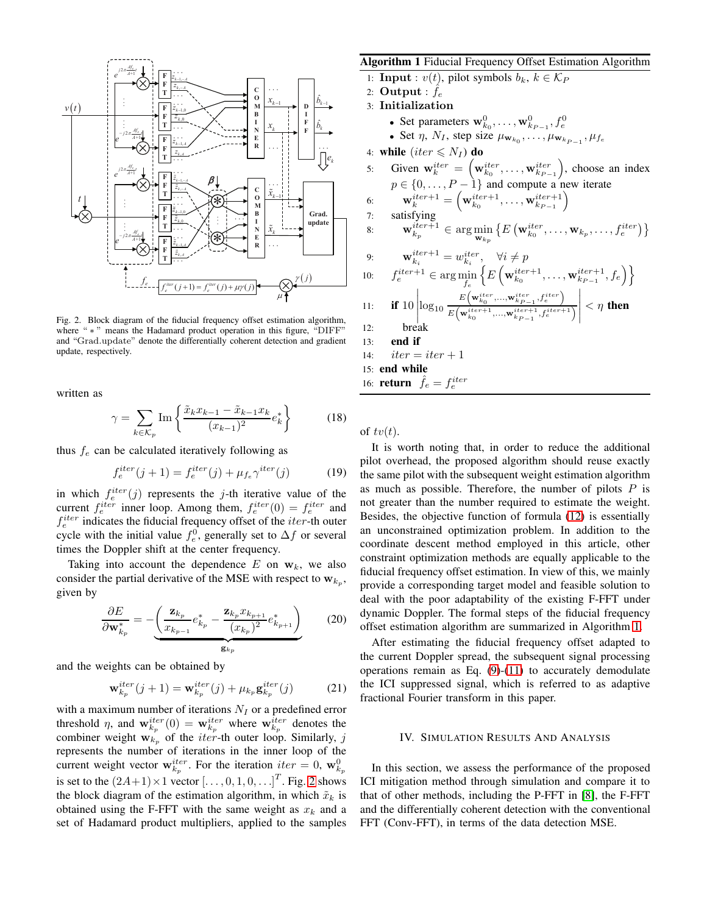

<span id="page-3-1"></span>Fig. 2. Block diagram of the fiducial frequency offset estimation algorithm, where " \* " means the Hadamard product operation in this figure, "DIFF" and "Grad.update" denote the differentially coherent detection and gradient update, respectively.

written as

$$
\gamma = \sum_{k \in \mathcal{K}_p} \operatorname{Im} \left\{ \frac{\tilde{x}_k x_{k-1} - \tilde{x}_{k-1} x_k}{(x_{k-1})^2} e_k^* \right\} \tag{18}
$$

thus  $f_e$  can be calculated iteratively following as

$$
f_e^{iter}(j+1) = f_e^{iter}(j) + \mu_{fe}\gamma^{iter}(j)
$$
 (19)

in which  $f_e^{iter}(j)$  represents the j-th iterative value of the current  $f_e^{iter}$  inner loop. Among them,  $f_e^{iter}(0) = f_e^{iter}$  and  $f_e^{iter}$  indicates the fiducial frequency offset of the *iter*-th outer cycle with the initial value  $f_e^0$ , generally set to  $\Delta f$  or several times the Doppler shift at the center frequency.

Taking into account the dependence  $E$  on  $w_k$ , we also consider the partial derivative of the MSE with respect to  $w_{k_p}$ , given by

$$
\frac{\partial E}{\partial \mathbf{w}_{k_p}^*} = -\underbrace{\left(\frac{\mathbf{z}_{k_p}}{x_{k_{p-1}}}e_{k_p}^* - \frac{\mathbf{z}_{k_p}x_{k_{p+1}}}{(x_{k_p})^2}e_{k_{p+1}}^*\right)}_{\mathbf{g}_{k_p}}
$$
(20)

and the weights can be obtained by

$$
\mathbf{w}_{k_p}^{iter}(j+1) = \mathbf{w}_{k_p}^{iter}(j) + \mu_{k_p} \mathbf{g}_{k_p}^{iter}(j)
$$
(21)

with a maximum number of iterations  $N_I$  or a predefined error threshold  $\eta$ , and  $\mathbf{w}_{k_p}^{iter}(0) = \mathbf{w}_{k_p}^{iter}$  where  $\mathbf{w}_{k_p}^{iter}$  denotes the combiner weight  $w_{k_p}$  of the *iter*-th outer loop. Similarly, j represents the number of iterations in the inner loop of the current weight vector  $\mathbf{w}_{k_p}^{iter}$ . For the iteration  $iter = 0$ ,  $\mathbf{w}_{k_p}^0$ is set to the  $(2A+1) \times 1$  vector  $[\ldots, 0, 1, 0, \ldots]^T$ . Fig. [2](#page-3-1) shows the block diagram of the estimation algorithm, in which  $\tilde{x}_k$  is obtained using the F-FFT with the same weight as  $x_k$  and a set of Hadamard product multipliers, applied to the samples

## <span id="page-3-2"></span>Algorithm 1 Fiducial Frequency Offset Estimation Algorithm

- 1: **Input** :  $v(t)$ , pilot symbols  $b_k$ ,  $k \in \mathcal{K}_P$
- 2:  $\mathbf{Output}: \hat{f}_e$
- 3: Initialization
	- Set parameters  $\mathbf{w}_{k_0}^0, \ldots, \mathbf{w}_{k_{P-1}}^0, f_e^0$
	- Set  $\eta$ ,  $N_I$ , step size  $\mu_{\mathbf{w}_{k_0}}, \dots, \mu_{\mathbf{w}_{k_{P-1}}}, \mu_{f_e}$
- 4: while  $(iter \leq N_I)$  do

5: Given 
$$
\mathbf{w}_k^{iter} = (\mathbf{w}_{k_0}^{iter}, \dots, \mathbf{w}_{k_{P-1}}^{iter})
$$
, choose an index  $p \in \{0, \dots, P-1\}$  and compute a new iterate  $\mathbf{w}_k^{iter+1} = (\mathbf{w}_{k_0}^{iter+1}, \dots, \mathbf{w}_{k_{P-1}}^{iter+1})$   
\n7: satisfying\n8:  $\mathbf{w}_{k_p}^{iter+1} \in \arg \min_{\mathbf{w}_{k_p}} \{E(\mathbf{w}_{k_0}^{iter}, \dots, \mathbf{w}_{k_p}, \dots, f_e^{iter})\}$   
\n9:  $\mathbf{w}_{k_i}^{iter+1} = w_{k_i}^{iter}, \quad \forall i \neq p$   
\n10:  $f_e^{iter+1} \in \arg \min_{f_e} \{E(\mathbf{w}_{k_0}^{iter+1}, \dots, \mathbf{w}_{k_{P-1}}^{iter+1}, f_e)\}$   
\n11: **if** 10  $\left| \log_{10} \frac{E(\mathbf{w}_{k_0}^{iter}, \dots, \mathbf{w}_{k_{P-1}}^{iter}, f_e^{iter})}{E(\mathbf{w}_{k_0}^{iter+1}, \dots, \mathbf{w}_{k_{P-1}}^{iter+1}, f_e^{iter+1})} \right| < \eta$  then  
\n12: break  
\n13: **end if**  
\n14: *iter = iter* + 1  
\n15: **end while**  
\n16: **return**  $\hat{f}_e = f_e^{iter}$ 

of  $tv(t)$ .

It is worth noting that, in order to reduce the additional pilot overhead, the proposed algorithm should reuse exactly the same pilot with the subsequent weight estimation algorithm as much as possible. Therefore, the number of pilots  $P$  is not greater than the number required to estimate the weight. Besides, the objective function of formula [\(12\)](#page-2-1) is essentially an unconstrained optimization problem. In addition to the coordinate descent method employed in this article, other constraint optimization methods are equally applicable to the fiducial frequency offset estimation. In view of this, we mainly provide a corresponding target model and feasible solution to deal with the poor adaptability of the existing F-FFT under dynamic Doppler. The formal steps of the fiducial frequency offset estimation algorithm are summarized in Algorithm [1.](#page-3-2)

After estimating the fiducial frequency offset adapted to the current Doppler spread, the subsequent signal processing operations remain as Eq.  $(9)-(11)$  $(9)-(11)$  to accurately demodulate the ICI suppressed signal, which is referred to as adaptive fractional Fourier transform in this paper.

# <span id="page-3-0"></span>IV. SIMULATION RESULTS AND ANALYSIS

In this section, we assess the performance of the proposed ICI mitigation method through simulation and compare it to that of other methods, including the P-FFT in [\[8\]](#page-5-10), the F-FFT and the differentially coherent detection with the conventional FFT (Conv-FFT), in terms of the data detection MSE.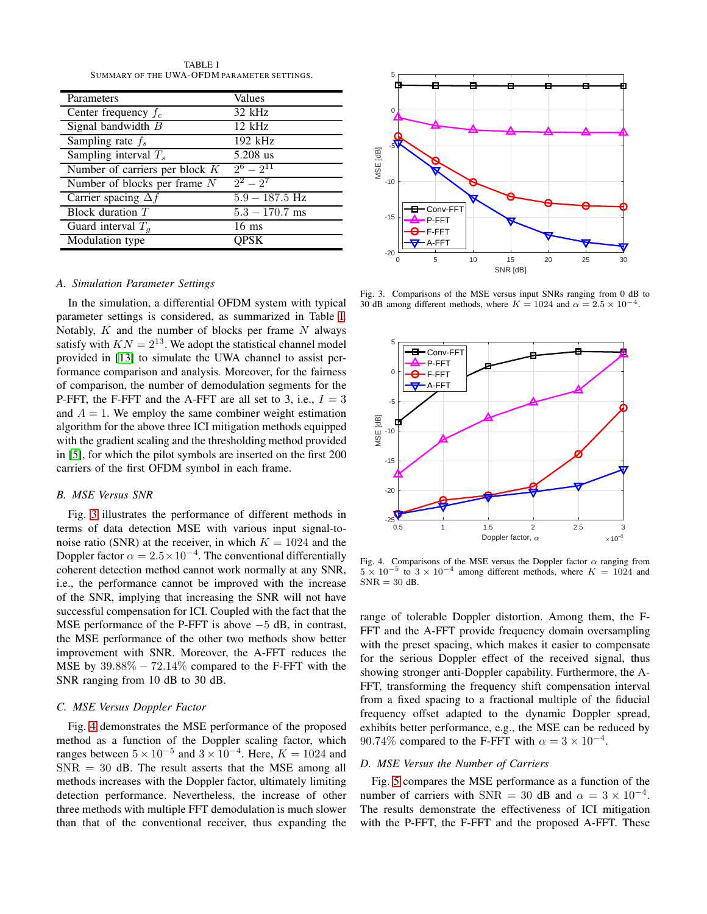TABLE I SUMMARY OF THE UWA-OFDM PARAMETER SETTINGS.

<span id="page-4-0"></span>

| Parameters                       | Values           |
|----------------------------------|------------------|
| Center frequency $f_c$           | 32 kHz           |
| Signal bandwidth B               | $12$ kHz         |
| Sampling rate $f_s$              | 192 kHz          |
| Sampling interval $T_s$          | 5.208 us         |
| Number of carriers per block $K$ | $2^6 - 2^{11}$   |
| Number of blocks per frame $N$   | $2^2 - 2^7$      |
| Carrier spacing $\Delta f$       | $5.9 - 187.5$ Hz |
| Block duration $T$               | $5.3 - 170.7$ ms |
| Guard interval $T_a$             | $16 \text{ ms}$  |
| Modulation type                  |                  |

# *A. Simulation Parameter Settings*

In the simulation, a differential OFDM system with typical parameter settings is considered, as summarized in Table [I.](#page-4-0) Notably,  $K$  and the number of blocks per frame  $N$  always satisfy with  $KN = 2^{13}$ . We adopt the statistical channel model provided in [\[13\]](#page-5-11) to simulate the UWA channel to assist performance comparison and analysis. Moreover, for the fairness of comparison, the number of demodulation segments for the P-FFT, the F-FFT and the A-FFT are all set to 3, i.e.,  $I = 3$ and  $A = 1$ . We employ the same combiner weight estimation algorithm for the above three ICI mitigation methods equipped with the gradient scaling and the thresholding method provided in [\[5\]](#page-5-2), for which the pilot symbols are inserted on the first 200 carriers of the first OFDM symbol in each frame.

# *B. MSE Versus SNR*

Fig. [3](#page-4-1) illustrates the performance of different methods in terms of data detection MSE with various input signal-tonoise ratio (SNR) at the receiver, in which  $K = 1024$  and the Doppler factor  $\alpha = 2.5 \times 10^{-4}$ . The conventional differentially coherent detection method cannot work normally at any SNR, i.e., the performance cannot be improved with the increase of the SNR, implying that increasing the SNR will not have successful compensation for ICI. Coupled with the fact that the MSE performance of the P-FFT is above −5 dB, in contrast, the MSE performance of the other two methods show better improvement with SNR. Moreover, the A-FFT reduces the MSE by  $39.88\% - 72.14\%$  compared to the F-FFT with the SNR ranging from 10 dB to 30 dB.

## *C. MSE Versus Doppler Factor*

Fig. [4](#page-4-2) demonstrates the MSE performance of the proposed method as a function of the Doppler scaling factor, which ranges between  $5 \times 10^{-5}$  and  $3 \times 10^{-4}$ . Here,  $K = 1024$  and  $SNR = 30$  dB. The result asserts that the MSE among all methods increases with the Doppler factor, ultimately limiting detection performance. Nevertheless, the increase of other three methods with multiple FFT demodulation is much slower than that of the conventional receiver, thus expanding the



<span id="page-4-1"></span>Fig. 3. Comparisons of the MSE versus input SNRs ranging from 0 dB to 30 dB among different methods, where  $K = 1024$  and  $\alpha = 2.5 \times 10^{-4}$ .



<span id="page-4-2"></span>Fig. 4. Comparisons of the MSE versus the Doppler factor  $\alpha$  ranging from  $5 \times 10^{-5}$  to  $3 \times 10^{-4}$  among different methods, where  $K = 1024$  and  $SNR = 30$  dB.

range of tolerable Doppler distortion. Among them, the F-FFT and the A-FFT provide frequency domain oversampling with the preset spacing, which makes it easier to compensate for the serious Doppler effect of the received signal, thus showing stronger anti-Doppler capability. Furthermore, the A-FFT, transforming the frequency shift compensation interval from a fixed spacing to a fractional multiple of the fiducial frequency offset adapted to the dynamic Doppler spread, exhibits better performance, e.g., the MSE can be reduced by 90.74% compared to the F-FFT with  $\alpha = 3 \times 10^{-4}$ .

#### *D. MSE Versus the Number of Carriers*

Fig. [5](#page-5-12) compares the MSE performance as a function of the number of carriers with SNR = 30 dB and  $\alpha = 3 \times 10^{-4}$ . The results demonstrate the effectiveness of ICI mitigation with the P-FFT, the F-FFT and the proposed A-FFT. These